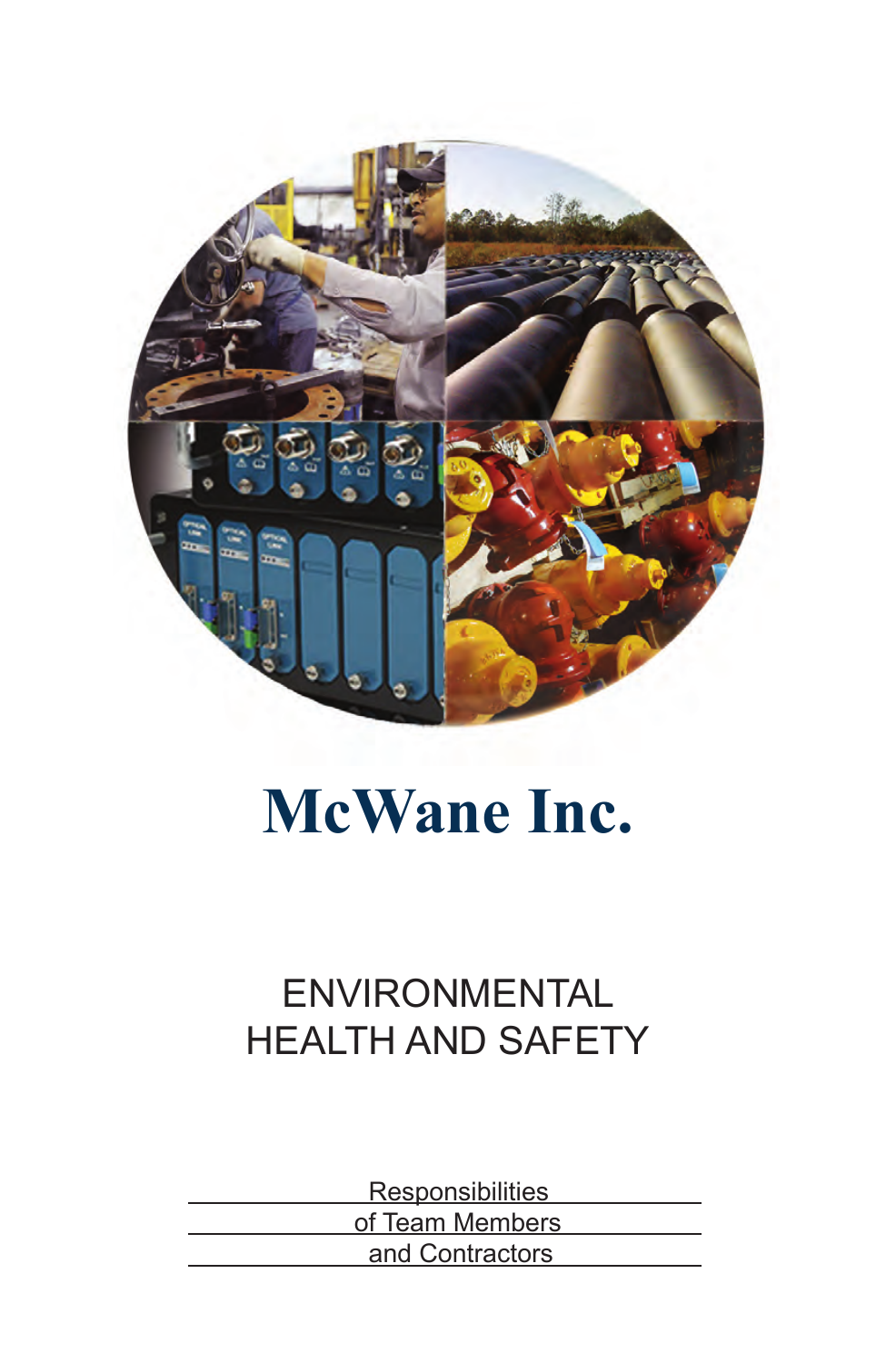

# **McWane Inc.**

# ENVIRONMENTAL HEALTH AND SAFETY

**Responsibilities**  of Team Members and Contractors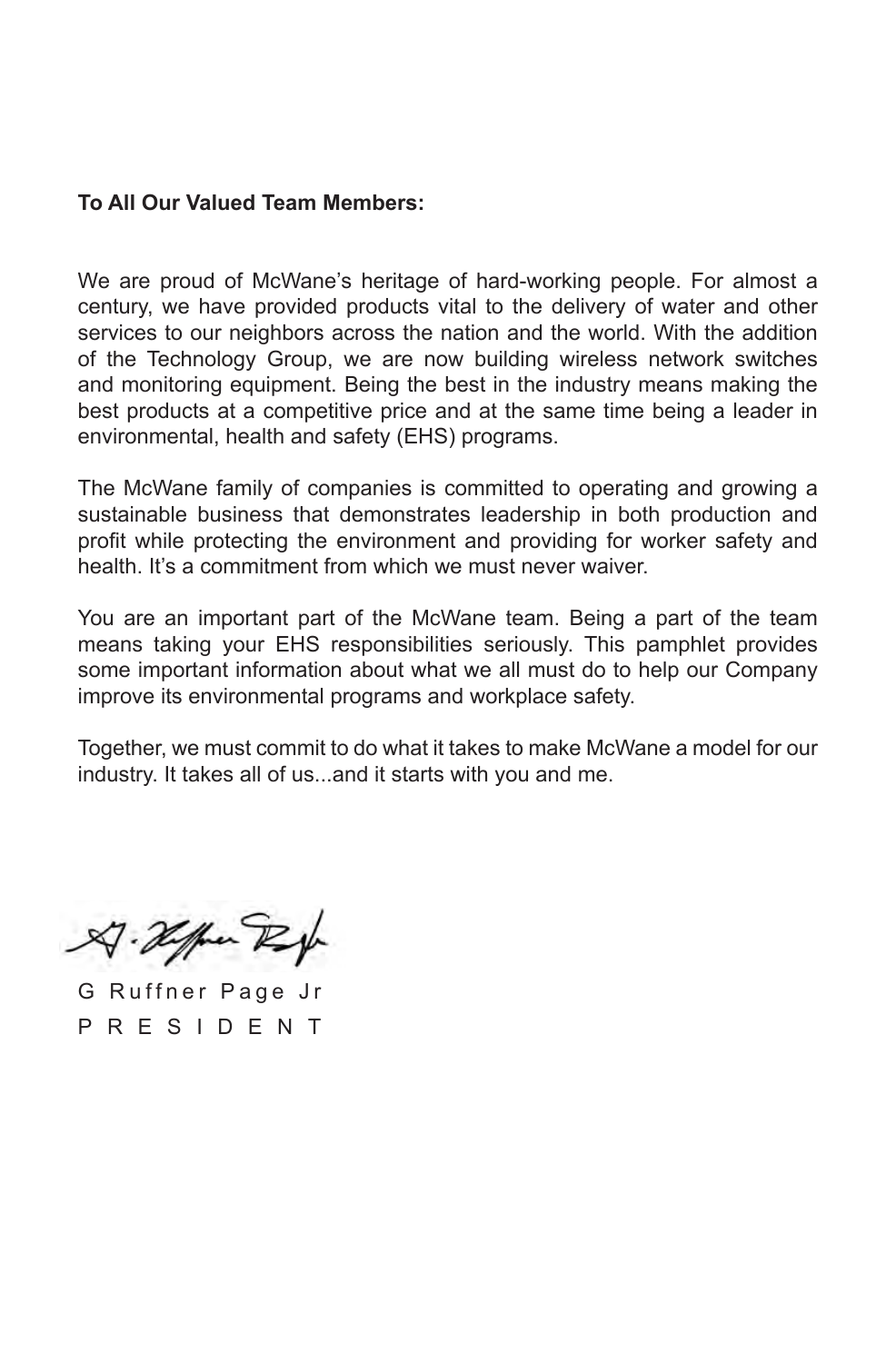#### **To All Our Valued Team Members:**

We are proud of McWane's heritage of hard-working people. For almost a century, we have provided products vital to the delivery of water and other services to our neighbors across the nation and the world. With the addition of the Technology Group, we are now building wireless network switches and monitoring equipment. Being the best in the industry means making the best products at a competitive price and at the same time being a leader in environmental, health and safety (EHS) programs.

The McWane family of companies is committed to operating and growing a sustainable business that demonstrates leadership in both production and profit while protecting the environment and providing for worker safety and health. It's a commitment from which we must never waiver.

You are an important part of the McWane team. Being a part of the team means taking your EHS responsibilities seriously. This pamphlet provides some important information about what we all must do to help our Company improve its environmental programs and workplace safety.

Together, we must commit to do what it takes to make McWane a model for our industry. It takes all of us...and it starts with you and me.

A. Hoffen Rep

G Ruffner Page Jr P R E S I D E N T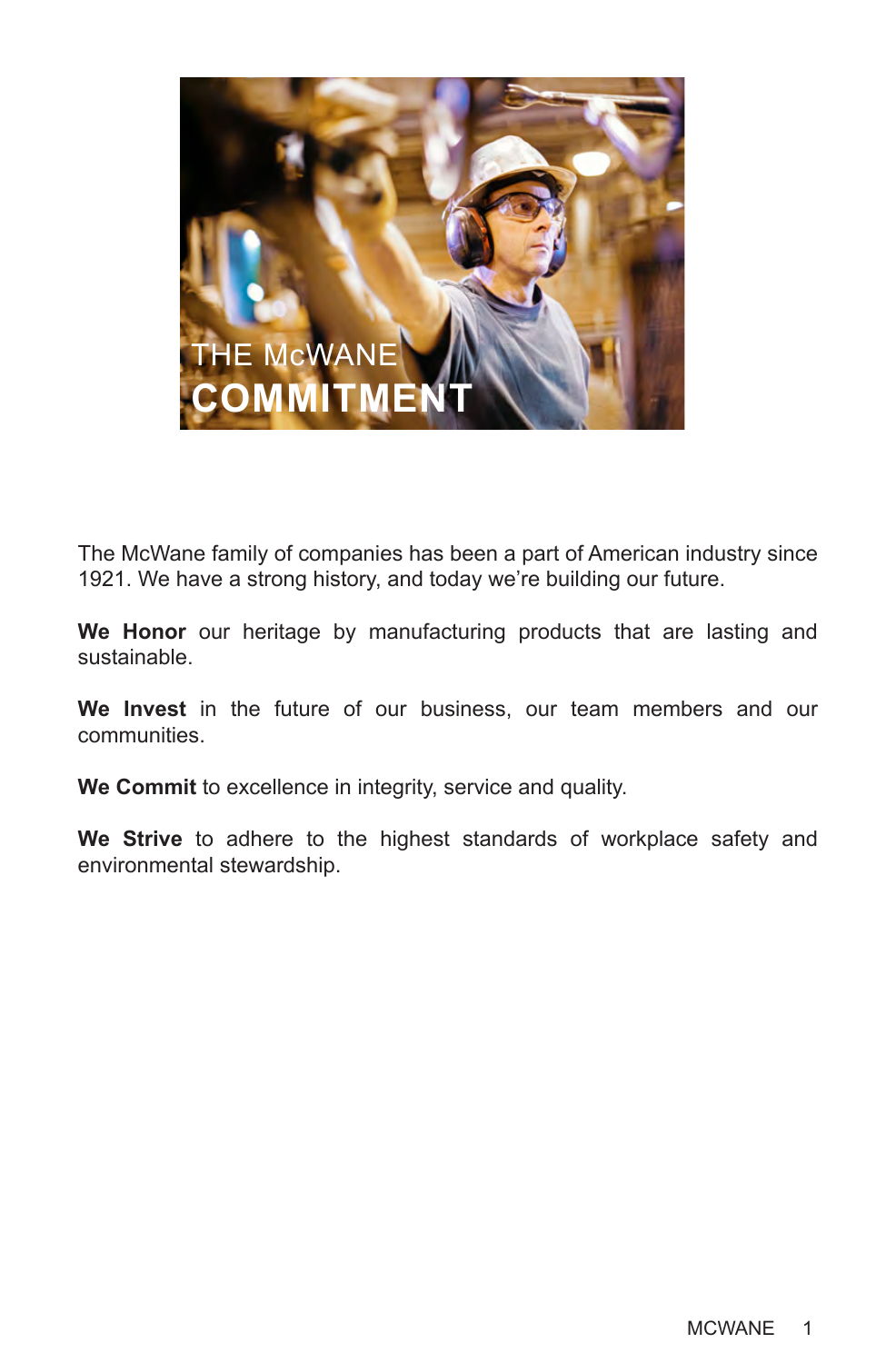

The McWane family of companies has been a part of American industry since 1921. We have a strong history, and today we're building our future.

**We Honor** our heritage by manufacturing products that are lasting and sustainable.

**We Invest** in the future of our business, our team members and our communities.

**We Commit** to excellence in integrity, service and quality.

**We Strive** to adhere to the highest standards of workplace safety and environmental stewardship.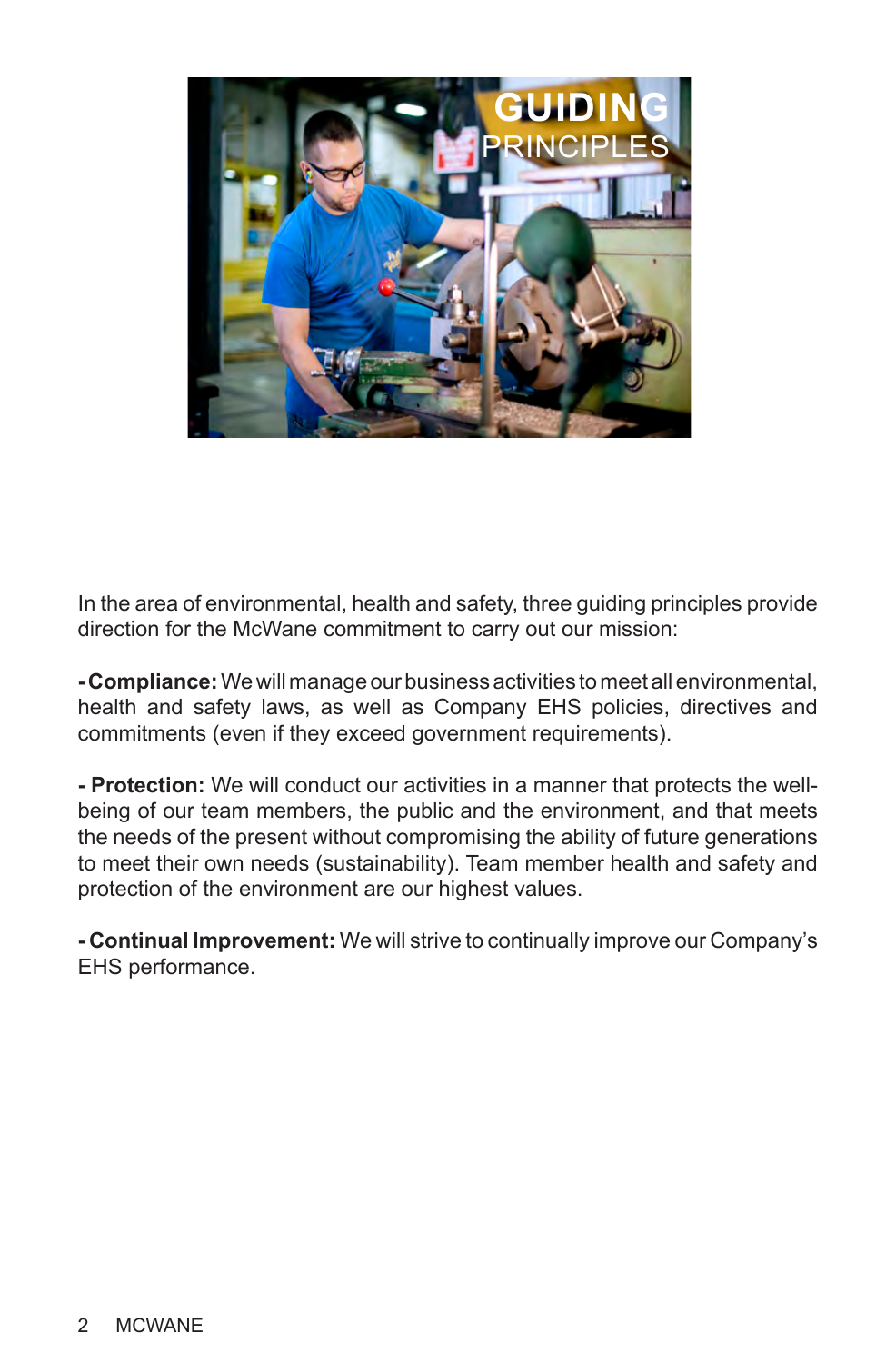

In the area of environmental, health and safety, three guiding principles provide direction for the McWane commitment to carry out our mission:

**- Compliance:** We will manage our business activities to meet all environmental, health and safety laws, as well as Company EHS policies, directives and commitments (even if they exceed government requirements).

**- Protection:** We will conduct our activities in a manner that protects the wellbeing of our team members, the public and the environment, and that meets the needs of the present without compromising the ability of future generations to meet their own needs (sustainability). Team member health and safety and protection of the environment are our highest values.

**- Continual Improvement:** We will strive to continually improve our Company's EHS performance.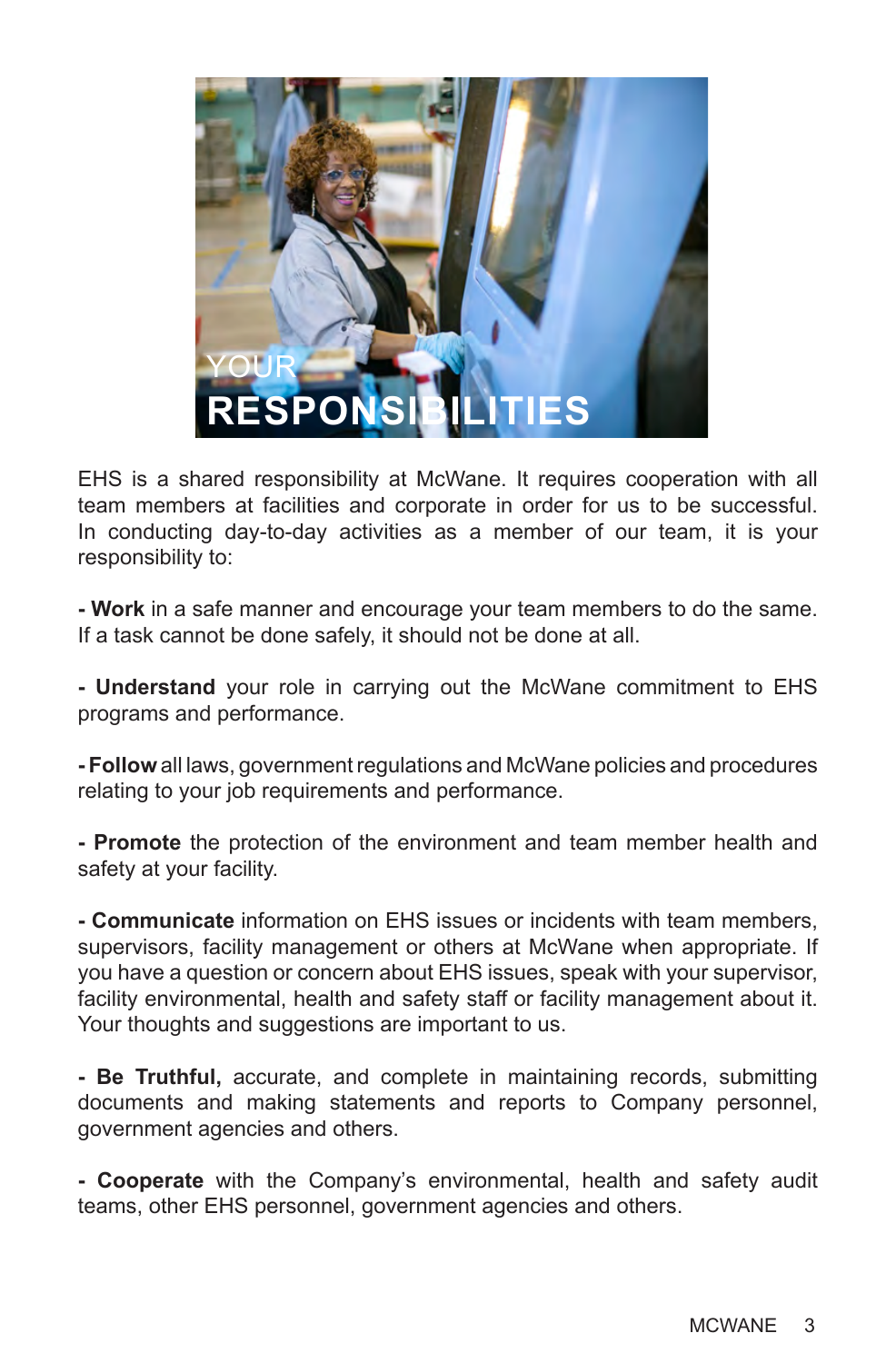

EHS is a shared responsibility at McWane. It requires cooperation with all team members at facilities and corporate in order for us to be successful. In conducting day-to-day activities as a member of our team, it is your responsibility to:

**- Work** in a safe manner and encourage your team members to do the same. If a task cannot be done safely, it should not be done at all.

**- Understand** your role in carrying out the McWane commitment to EHS programs and performance.

**- Follow** all laws, government regulations and McWane policies and procedures relating to your job requirements and performance.

**- Promote** the protection of the environment and team member health and safety at your facility.

**- Communicate** information on EHS issues or incidents with team members, supervisors, facility management or others at McWane when appropriate. If you have a question or concern about EHS issues, speak with your supervisor, facility environmental, health and safety staff or facility management about it. Your thoughts and suggestions are important to us.

**- Be Truthful,** accurate, and complete in maintaining records, submitting documents and making statements and reports to Company personnel, government agencies and others.

**- Cooperate** with the Company's environmental, health and safety audit teams, other EHS personnel, government agencies and others.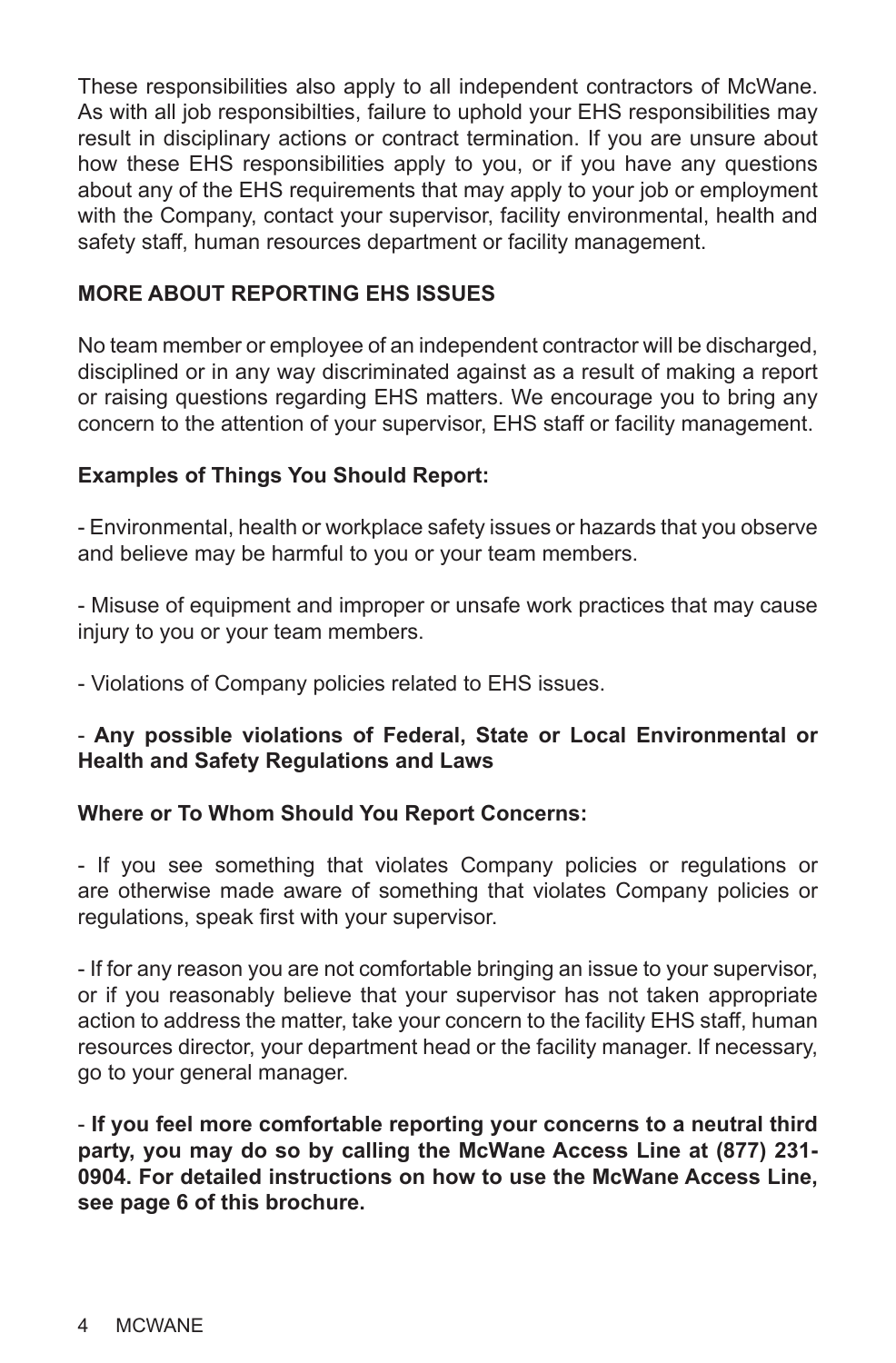These responsibilities also apply to all independent contractors of McWane. As with all job responsibilties, failure to uphold your EHS responsibilities may result in disciplinary actions or contract termination. If you are unsure about how these EHS responsibilities apply to you, or if you have any questions about any of the EHS requirements that may apply to your job or employment with the Company, contact your supervisor, facility environmental, health and safety staff, human resources department or facility management.

#### **MORE ABOUT REPORTING EHS ISSUES**

No team member or employee of an independent contractor will be discharged, disciplined or in any way discriminated against as a result of making a report or raising questions regarding EHS matters. We encourage you to bring any concern to the attention of your supervisor, EHS staff or facility management.

#### **Examples of Things You Should Report:**

- Environmental, health or workplace safety issues or hazards that you observe and believe may be harmful to you or your team members.

- Misuse of equipment and improper or unsafe work practices that may cause injury to you or your team members.

- Violations of Company policies related to EHS issues.

#### - **Any possible violations of Federal, State or Local Environmental or Health and Safety Regulations and Laws**

#### **Where or To Whom Should You Report Concerns:**

- If you see something that violates Company policies or regulations or are otherwise made aware of something that violates Company policies or regulations, speak first with your supervisor.

- If for any reason you are not comfortable bringing an issue to your supervisor, or if you reasonably believe that your supervisor has not taken appropriate action to address the matter, take your concern to the facility EHS staff, human resources director, your department head or the facility manager. If necessary, go to your general manager.

- **If you feel more comfortable reporting your concerns to a neutral third party, you may do so by calling the McWane Access Line at (877) 231- 0904. For detailed instructions on how to use the McWane Access Line, see page 6 of this brochure.**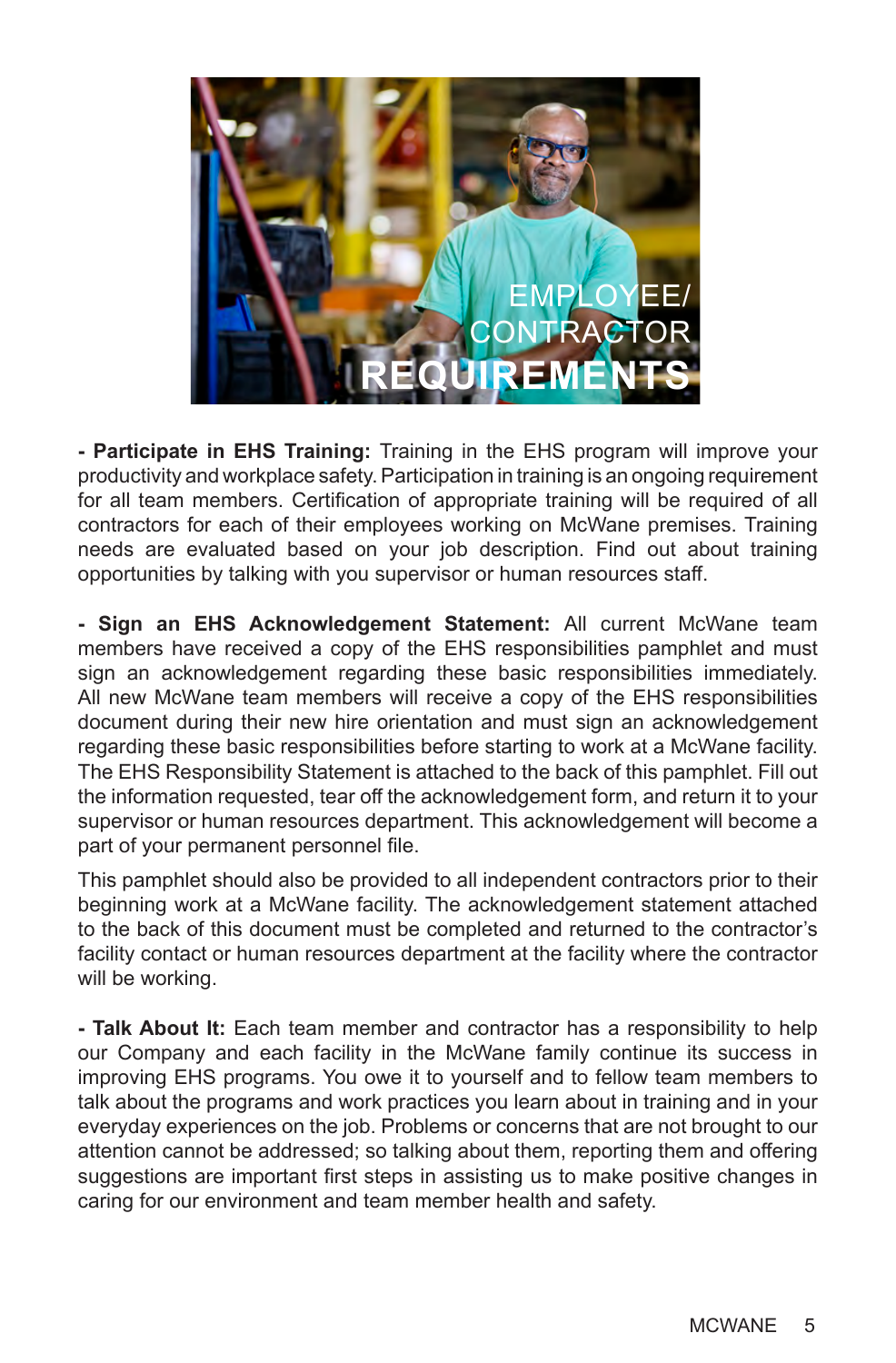

**- Participate in EHS Training:** Training in the EHS program will improve your productivity and workplace safety. Participation in training is an ongoing requirement for all team members. Certification of appropriate training will be required of all contractors for each of their employees working on McWane premises. Training needs are evaluated based on your job description. Find out about training opportunities by talking with you supervisor or human resources staff.

**- Sign an EHS Acknowledgement Statement:** All current McWane team members have received a copy of the EHS responsibilities pamphlet and must sign an acknowledgement regarding these basic responsibilities immediately. All new McWane team members will receive a copy of the EHS responsibilities document during their new hire orientation and must sign an acknowledgement regarding these basic responsibilities before starting to work at a McWane facility. The EHS Responsibility Statement is attached to the back of this pamphlet. Fill out the information requested, tear off the acknowledgement form, and return it to your supervisor or human resources department. This acknowledgement will become a part of your permanent personnel file.

This pamphlet should also be provided to all independent contractors prior to their beginning work at a McWane facility. The acknowledgement statement attached to the back of this document must be completed and returned to the contractor's facility contact or human resources department at the facility where the contractor will be working.

**- Talk About It:** Each team member and contractor has a responsibility to help our Company and each facility in the McWane family continue its success in improving EHS programs. You owe it to yourself and to fellow team members to talk about the programs and work practices you learn about in training and in your everyday experiences on the job. Problems or concerns that are not brought to our attention cannot be addressed; so talking about them, reporting them and offering suggestions are important first steps in assisting us to make positive changes in caring for our environment and team member health and safety.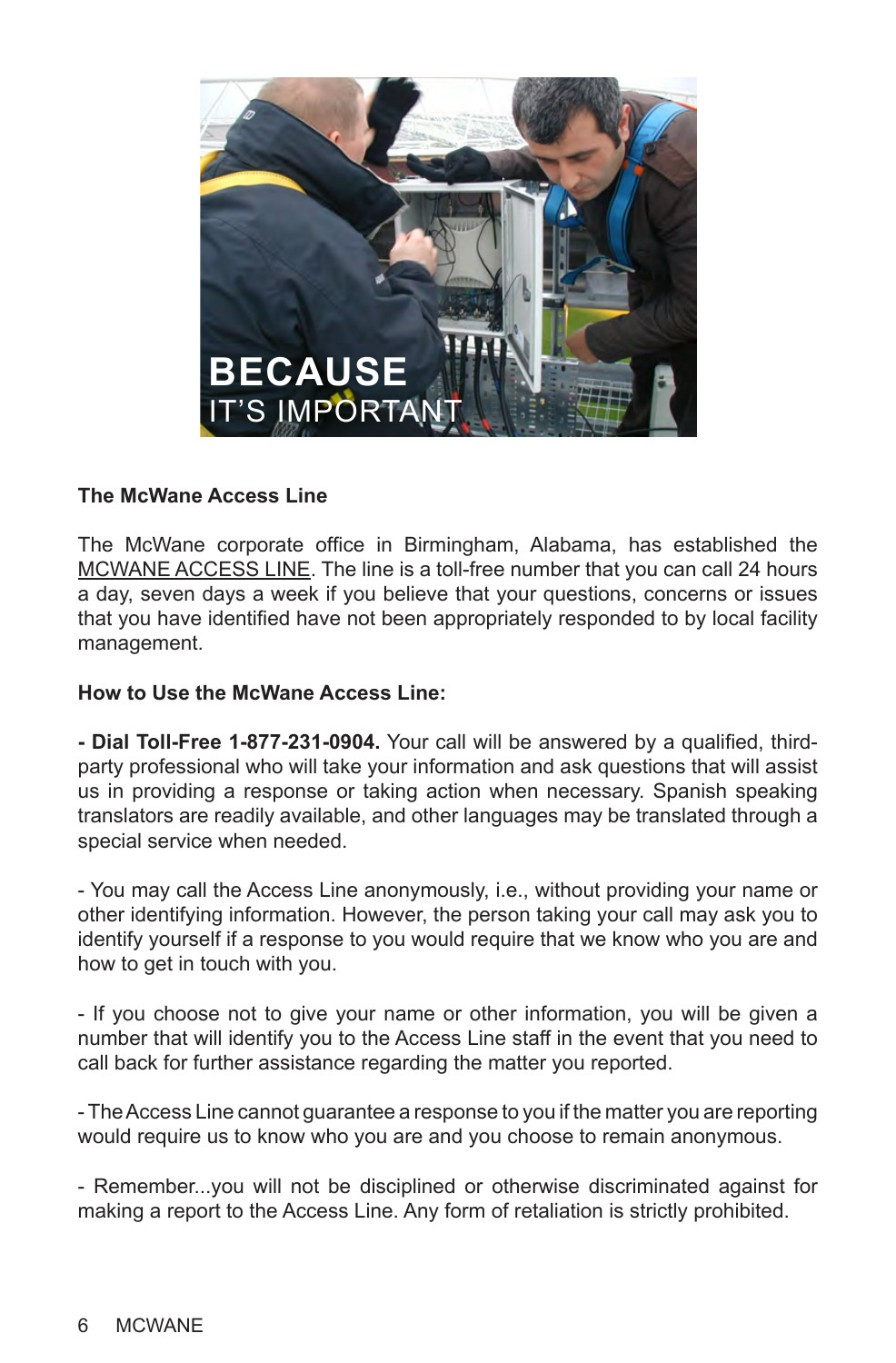

#### **The McWane Access Line**

The McWane corporate office in Birmingham, Alabama, has established the MCWANE ACCESS LINE. The line is a toll-free number that you can call 24 hours a day, seven days a week if you believe that your questions, concerns or issues that you have identified have not been appropriately responded to by local facility management.

#### **How to Use the McWane Access Line:**

**- Dial Toll-Free 1-877-231-0904.** Your call will be answered by a qualified, thirdparty professional who will take your information and ask questions that will assist us in providing a response or taking action when necessary. Spanish speaking translators are readily available, and other languages may be translated through a special service when needed.

- You may call the Access Line anonymously, i.e., without providing your name or other identifying information. However, the person taking your call may ask you to identify yourself if a response to you would require that we know who you are and how to get in touch with you.

- If you choose not to give your name or other information, you will be given a number that will identify you to the Access Line staff in the event that you need to call back for further assistance regarding the matter you reported.

- The Access Line cannot guarantee a response to you if the matter you are reporting would require us to know who you are and you choose to remain anonymous.

- Remember...you will not be disciplined or otherwise discriminated against for making a report to the Access Line. Any form of retaliation is strictly prohibited.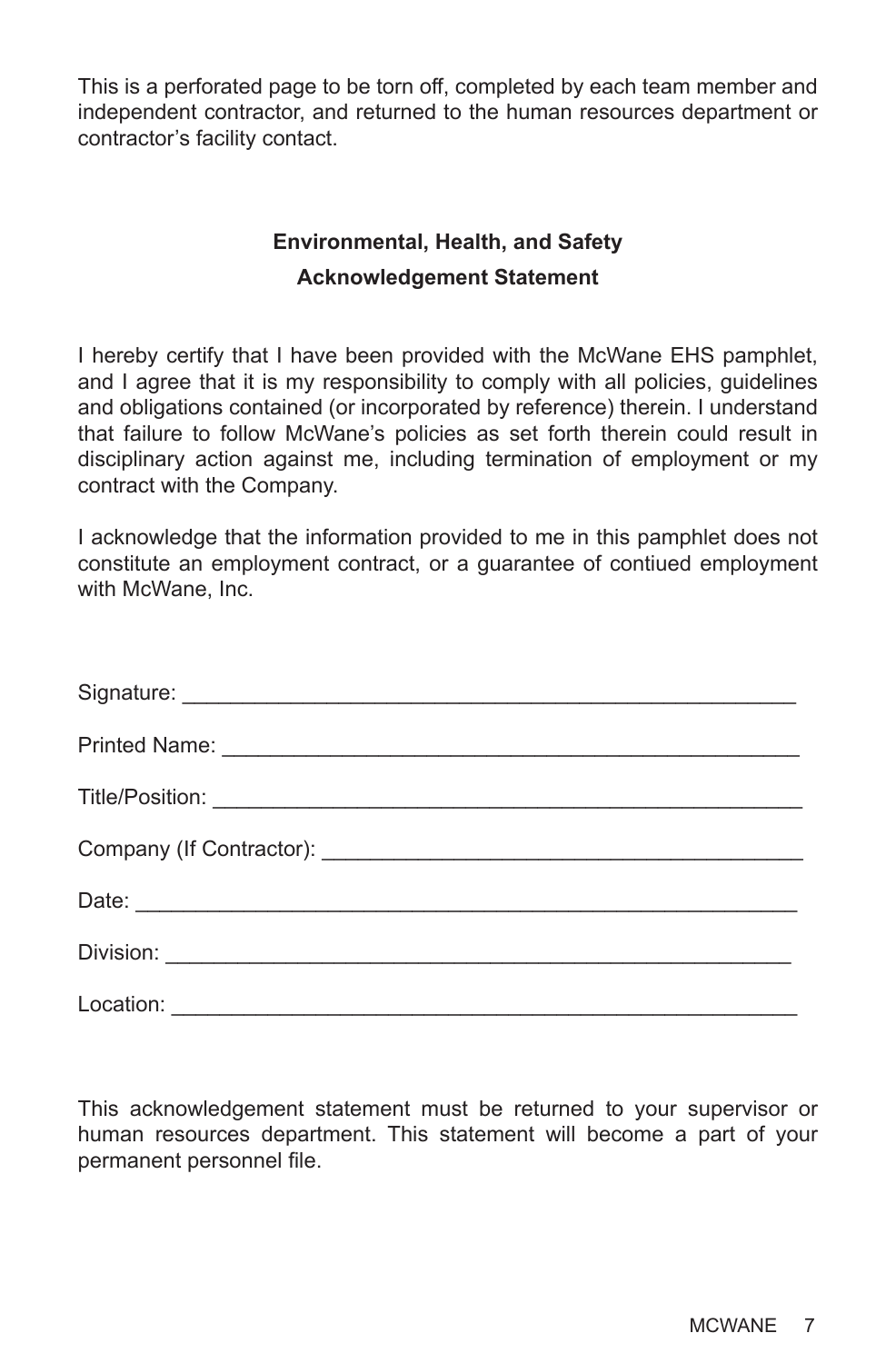This is a perforated page to be torn off, completed by each team member and independent contractor, and returned to the human resources department or contractor's facility contact.

## **Environmental, Health, and Safety Acknowledgement Statement**

I hereby certify that I have been provided with the McWane EHS pamphlet, and I agree that it is my responsibility to comply with all policies, guidelines and obligations contained (or incorporated by reference) therein. I understand that failure to follow McWane's policies as set forth therein could result in disciplinary action against me, including termination of employment or my contract with the Company.

I acknowledge that the information provided to me in this pamphlet does not constitute an employment contract, or a guarantee of contiued employment with McWane, Inc.

This acknowledgement statement must be returned to your supervisor or human resources department. This statement will become a part of your permanent personnel file.